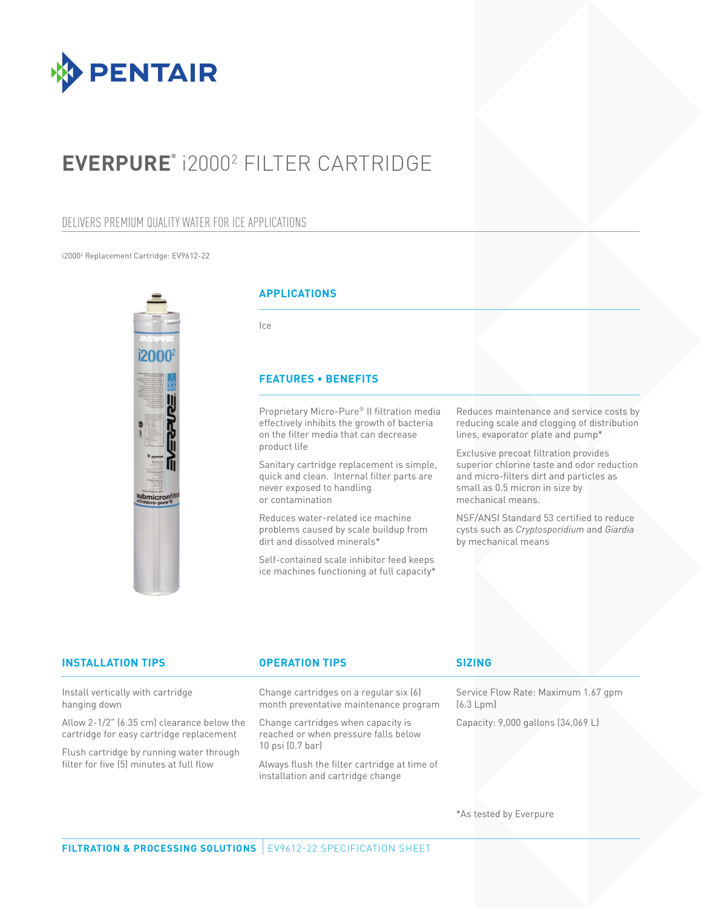

# **EVERPURE®** i20002 FILTER CARTRIDGE

### DELIVERS PREMIUM QUALITY WATER FOR ICE APPLICATIONS

i20002 Replacement Cartridge: EV9612-22



### **APPLICATIONS**

Ice

### **FEATURES • BENEFITS**

Proprietary Micro-Pure® II filtration media effectively inhibits the growth of bacteria on the filter media that can decrease product life

Sanitary cartridge replacement is simple, quick and clean. Internal filter parts are never exposed to handling or contamination

Reduces water-related ice machine problems caused by scale buildup from dirt and dissolved minerals\*

Self-contained scale inhibitor feed keeps ice machines functioning at full capacity\* Reduces maintenance and service costs by reducing scale and clogging of distribution lines, evaporator plate and pump\*

Exclusive precoat filtration provides superior chlorine taste and odor reduction and micro-filters dirt and particles as small as 0.5 micron in size by mechanical means.

NSF/ANSI Standard 53 certified to reduce cysts such as *Cryptosporidium* and *Giardia* by mechanical means

| <b>INSTALLATION TIPS</b>                                                                                                                                                       | <b>OPERATION TIPS</b>                                                                              | <b>SIZING</b>                                    |
|--------------------------------------------------------------------------------------------------------------------------------------------------------------------------------|----------------------------------------------------------------------------------------------------|--------------------------------------------------|
| Install vertically with cartridge<br>hanging down                                                                                                                              | Change cartridges on a regular six (6)<br>month preventative maintenance program                   | Service Flow Rate: Maximum 1.67 gpm<br>(6.3 Lpm) |
| Allow 2-1/2" (6.35 cm) clearance below the<br>cartridge for easy cartridge replacement<br>Flush cartridge by running water through<br>filter for five (5) minutes at full flow | Change cartridges when capacity is<br>reached or when pressure falls below<br>$10$ psi $(0.7$ bar) | Capacity: 9,000 gallons (34,069 L)               |
|                                                                                                                                                                                | Always flush the filter cartridge at time of<br>installation and cartridge change                  |                                                  |
|                                                                                                                                                                                |                                                                                                    |                                                  |

\*As tested by Everpure